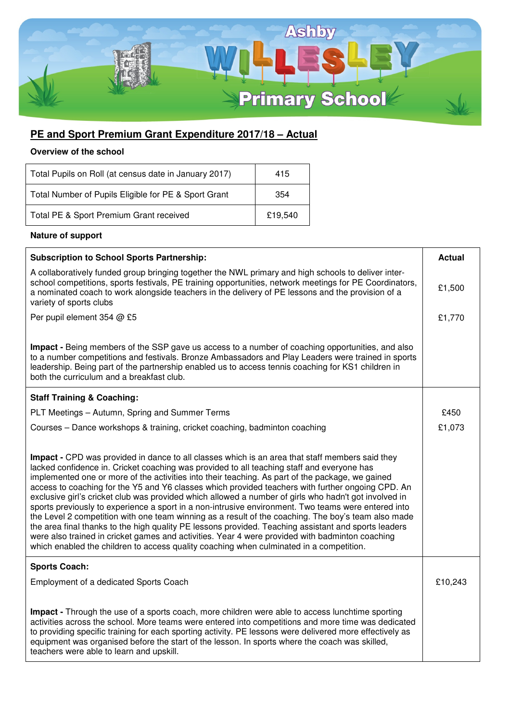

## **PE and Sport Premium Grant Expenditure 2017/18 – Actual**

## **Overview of the school**

| Total Pupils on Roll (at census date in January 2017) | 415     |
|-------------------------------------------------------|---------|
| Total Number of Pupils Eligible for PE & Sport Grant  | 354     |
| Total PE & Sport Premium Grant received               | £19.540 |

## **Nature of support**

| <b>Subscription to School Sports Partnership:</b>                                                                                                                                                                                                                                                                                                                                                                                                                                                                                                                                                                                                                                                                                                                                                                                                                                                                                                                                                                                   | <b>Actual</b> |
|-------------------------------------------------------------------------------------------------------------------------------------------------------------------------------------------------------------------------------------------------------------------------------------------------------------------------------------------------------------------------------------------------------------------------------------------------------------------------------------------------------------------------------------------------------------------------------------------------------------------------------------------------------------------------------------------------------------------------------------------------------------------------------------------------------------------------------------------------------------------------------------------------------------------------------------------------------------------------------------------------------------------------------------|---------------|
| A collaboratively funded group bringing together the NWL primary and high schools to deliver inter-<br>school competitions, sports festivals, PE training opportunities, network meetings for PE Coordinators,<br>a nominated coach to work alongside teachers in the delivery of PE lessons and the provision of a<br>variety of sports clubs                                                                                                                                                                                                                                                                                                                                                                                                                                                                                                                                                                                                                                                                                      | £1,500        |
| Per pupil element 354 @ £5                                                                                                                                                                                                                                                                                                                                                                                                                                                                                                                                                                                                                                                                                                                                                                                                                                                                                                                                                                                                          | £1,770        |
| Impact - Being members of the SSP gave us access to a number of coaching opportunities, and also<br>to a number competitions and festivals. Bronze Ambassadors and Play Leaders were trained in sports<br>leadership. Being part of the partnership enabled us to access tennis coaching for KS1 children in<br>both the curriculum and a breakfast club.                                                                                                                                                                                                                                                                                                                                                                                                                                                                                                                                                                                                                                                                           |               |
| <b>Staff Training &amp; Coaching:</b>                                                                                                                                                                                                                                                                                                                                                                                                                                                                                                                                                                                                                                                                                                                                                                                                                                                                                                                                                                                               |               |
| PLT Meetings - Autumn, Spring and Summer Terms                                                                                                                                                                                                                                                                                                                                                                                                                                                                                                                                                                                                                                                                                                                                                                                                                                                                                                                                                                                      | £450          |
| Courses - Dance workshops & training, cricket coaching, badminton coaching                                                                                                                                                                                                                                                                                                                                                                                                                                                                                                                                                                                                                                                                                                                                                                                                                                                                                                                                                          | £1,073        |
| Impact - CPD was provided in dance to all classes which is an area that staff members said they<br>lacked confidence in. Cricket coaching was provided to all teaching staff and everyone has<br>implemented one or more of the activities into their teaching. As part of the package, we gained<br>access to coaching for the Y5 and Y6 classes which provided teachers with further ongoing CPD. An<br>exclusive girl's cricket club was provided which allowed a number of girls who hadn't got involved in<br>sports previously to experience a sport in a non-intrusive environment. Two teams were entered into<br>the Level 2 competition with one team winning as a result of the coaching. The boy's team also made<br>the area final thanks to the high quality PE lessons provided. Teaching assistant and sports leaders<br>were also trained in cricket games and activities. Year 4 were provided with badminton coaching<br>which enabled the children to access quality coaching when culminated in a competition. |               |
| <b>Sports Coach:</b><br>Employment of a dedicated Sports Coach                                                                                                                                                                                                                                                                                                                                                                                                                                                                                                                                                                                                                                                                                                                                                                                                                                                                                                                                                                      | £10,243       |
| Impact - Through the use of a sports coach, more children were able to access lunchtime sporting<br>activities across the school. More teams were entered into competitions and more time was dedicated<br>to providing specific training for each sporting activity. PE lessons were delivered more effectively as<br>equipment was organised before the start of the lesson. In sports where the coach was skilled,<br>teachers were able to learn and upskill.                                                                                                                                                                                                                                                                                                                                                                                                                                                                                                                                                                   |               |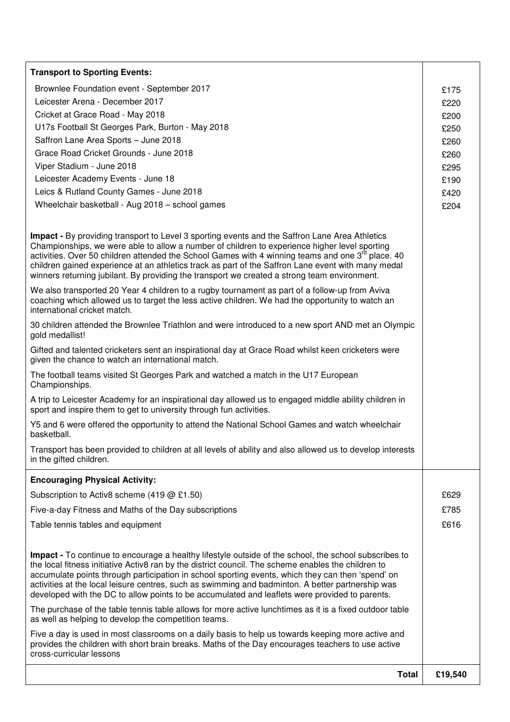| <b>Transport to Sporting Events:</b>                                                                                                                                                                                                                                                                                                                                                                                                                                                                                          |         |
|-------------------------------------------------------------------------------------------------------------------------------------------------------------------------------------------------------------------------------------------------------------------------------------------------------------------------------------------------------------------------------------------------------------------------------------------------------------------------------------------------------------------------------|---------|
| Brownlee Foundation event - September 2017                                                                                                                                                                                                                                                                                                                                                                                                                                                                                    | £175    |
| Leicester Arena - December 2017                                                                                                                                                                                                                                                                                                                                                                                                                                                                                               | £220    |
| Cricket at Grace Road - May 2018                                                                                                                                                                                                                                                                                                                                                                                                                                                                                              | £200    |
| U17s Football St Georges Park, Burton - May 2018                                                                                                                                                                                                                                                                                                                                                                                                                                                                              | £250    |
| Saffron Lane Area Sports - June 2018                                                                                                                                                                                                                                                                                                                                                                                                                                                                                          | £260    |
| Grace Road Cricket Grounds - June 2018                                                                                                                                                                                                                                                                                                                                                                                                                                                                                        | £260    |
| Viper Stadium - June 2018                                                                                                                                                                                                                                                                                                                                                                                                                                                                                                     | £295    |
| Leicester Academy Events - June 18                                                                                                                                                                                                                                                                                                                                                                                                                                                                                            | £190    |
| Leics & Rutland County Games - June 2018                                                                                                                                                                                                                                                                                                                                                                                                                                                                                      | £420    |
| Wheelchair basketball - Aug 2018 - school games                                                                                                                                                                                                                                                                                                                                                                                                                                                                               | £204    |
| <b>Impact - By providing transport to Level 3 sporting events and the Saffron Lane Area Athletics</b><br>Championships, we were able to allow a number of children to experience higher level sporting<br>activities. Over 50 children attended the School Games with 4 winning teams and one 3 <sup>rd</sup> place. 40<br>children gained experience at an athletics track as part of the Saffron Lane event with many medal<br>winners returning jubilant. By providing the transport we created a strong team environment. |         |
| We also transported 20 Year 4 children to a rugby tournament as part of a follow-up from Aviva<br>coaching which allowed us to target the less active children. We had the opportunity to watch an<br>international cricket match.                                                                                                                                                                                                                                                                                            |         |
| 30 children attended the Brownlee Triathlon and were introduced to a new sport AND met an Olympic<br>gold medallist!                                                                                                                                                                                                                                                                                                                                                                                                          |         |
| Gifted and talented cricketers sent an inspirational day at Grace Road whilst keen cricketers were<br>given the chance to watch an international match.                                                                                                                                                                                                                                                                                                                                                                       |         |
| The football teams visited St Georges Park and watched a match in the U17 European<br>Championships.                                                                                                                                                                                                                                                                                                                                                                                                                          |         |
| A trip to Leicester Academy for an inspirational day allowed us to engaged middle ability children in<br>sport and inspire them to get to university through fun activities.                                                                                                                                                                                                                                                                                                                                                  |         |
| Y5 and 6 were offered the opportunity to attend the National School Games and watch wheelchair<br>basketball.                                                                                                                                                                                                                                                                                                                                                                                                                 |         |
| Transport has been provided to children at all levels of ability and also allowed us to develop interests<br>in the gifted children.                                                                                                                                                                                                                                                                                                                                                                                          |         |
| <b>Encouraging Physical Activity:</b>                                                                                                                                                                                                                                                                                                                                                                                                                                                                                         |         |
| Subscription to Activ8 scheme (419 @ £1.50)                                                                                                                                                                                                                                                                                                                                                                                                                                                                                   | £629    |
| Five-a-day Fitness and Maths of the Day subscriptions                                                                                                                                                                                                                                                                                                                                                                                                                                                                         | £785    |
| Table tennis tables and equipment                                                                                                                                                                                                                                                                                                                                                                                                                                                                                             | £616    |
| Impact - To continue to encourage a healthy lifestyle outside of the school, the school subscribes to<br>the local fitness initiative Activ8 ran by the district council. The scheme enables the children to<br>accumulate points through participation in school sporting events, which they can then 'spend' on<br>activities at the local leisure centres, such as swimming and badminton. A better partnership was<br>developed with the DC to allow points to be accumulated and leaflets were provided to parents.      |         |
| The purchase of the table tennis table allows for more active lunchtimes as it is a fixed outdoor table<br>as well as helping to develop the competition teams.                                                                                                                                                                                                                                                                                                                                                               |         |
| Five a day is used in most classrooms on a daily basis to help us towards keeping more active and<br>provides the children with short brain breaks. Maths of the Day encourages teachers to use active<br>cross-curricular lessons                                                                                                                                                                                                                                                                                            |         |
| <b>Total</b>                                                                                                                                                                                                                                                                                                                                                                                                                                                                                                                  | £19,540 |